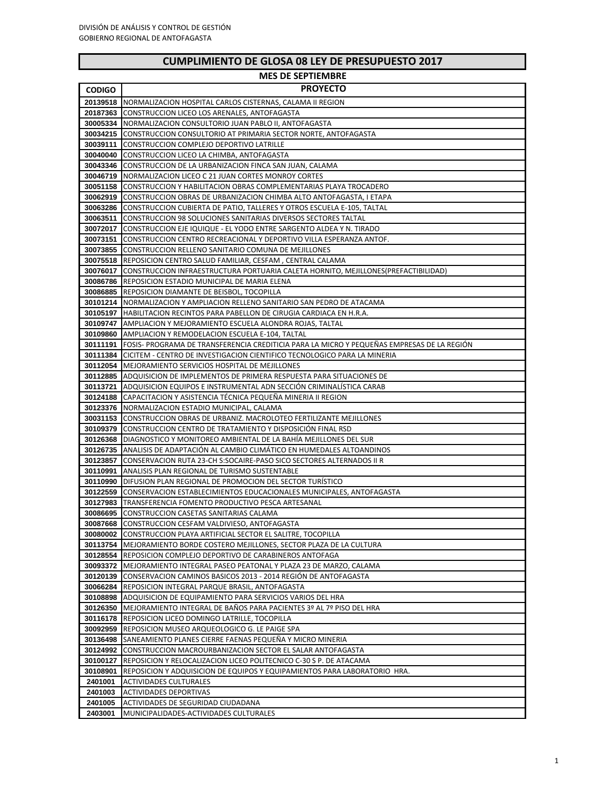I

| <b>MES DE SEPTIEMBRE</b> |                                                                                                                                                      |  |
|--------------------------|------------------------------------------------------------------------------------------------------------------------------------------------------|--|
| <b>CODIGO</b>            | <b>PROYECTO</b>                                                                                                                                      |  |
|                          | 20139518 INORMALIZACION HOSPITAL CARLOS CISTERNAS, CALAMA II REGION                                                                                  |  |
|                          | 20187363 CONSTRUCCION LICEO LOS ARENALES, ANTOFAGASTA                                                                                                |  |
|                          | 30005334 INORMALIZACION CONSULTORIO JUAN PABLO II, ANTOFAGASTA                                                                                       |  |
| 30034215                 | CONSTRUCCION CONSULTORIO AT PRIMARIA SECTOR NORTE, ANTOFAGASTA                                                                                       |  |
|                          | 30039111 CONSTRUCCION COMPLEJO DEPORTIVO LATRILLE                                                                                                    |  |
| 30040040                 | CONSTRUCCION LICEO LA CHIMBA, ANTOFAGASTA                                                                                                            |  |
|                          | 30043346 CONSTRUCCION DE LA URBANIZACION FINCA SAN JUAN, CALAMA                                                                                      |  |
| 30046719                 | NORMALIZACION LICEO C 21 JUAN CORTES MONROY CORTES                                                                                                   |  |
| 30051158                 | CONSTRUCCION Y HABILITACION OBRAS COMPLEMENTARIAS PLAYA TROCADERO                                                                                    |  |
| 30062919<br>30063286     | CONSTRUCCION OBRAS DE URBANIZACION CHIMBA ALTO ANTOFAGASTA, I ETAPA                                                                                  |  |
| 30063511                 | CONSTRUCCION CUBIERTA DE PATIO, TALLERES Y OTROS ESCUELA E-105, TALTAL<br><b>CONSTRUCCION 98 SOLUCIONES SANITARIAS DIVERSOS SECTORES TALTAL</b>      |  |
| 30072017                 | CONSTRUCCION EJE IQUIQUE - EL YODO ENTRE SARGENTO ALDEA Y N. TIRADO                                                                                  |  |
| 30073151                 | CONSTRUCCION CENTRO RECREACIONAL Y DEPORTIVO VILLA ESPERANZA ANTOF.                                                                                  |  |
| 30073855                 | CONSTRUCCION RELLENO SANITARIO COMUNA DE MEJILLONES                                                                                                  |  |
|                          | 30075518 REPOSICION CENTRO SALUD FAMILIAR, CESFAM, CENTRAL CALAMA                                                                                    |  |
| 30076017                 | CONSTRUCCION INFRAESTRUCTURA PORTUARIA CALETA HORNITO, MEJILLONES (PREFACTIBILIDAD)                                                                  |  |
|                          | <b>30086786</b> REPOSICION ESTADIO MUNICIPAL DE MARIA ELENA                                                                                          |  |
|                          | <b>30086885</b> REPOSICION DIAMANTE DE BEISBOL, TOCOPILLA                                                                                            |  |
|                          | 30101214   NORMALIZACION Y AMPLIACION RELLENO SANITARIO SAN PEDRO DE ATACAMA                                                                         |  |
| 30105197                 | HABILITACION RECINTOS PARA PABELLON DE CIRUGIA CARDIACA EN H.R.A.                                                                                    |  |
|                          | <b>30109747 AMPLIACION Y MEJORAMIENTO ESCUELA ALONDRA ROJAS, TALTAL</b>                                                                              |  |
| 30109860                 | AMPLIACION Y REMODELACION ESCUELA E-104, TALTAL                                                                                                      |  |
|                          | <b>30111191   FOSIS- PROGRAMA DE TRANSFERENCIA CREDITICIA PARA LA MICRO Y PEQUEÑAS EMPRESAS DE LA REGIÓN</b>                                         |  |
| 30111384                 | CICITEM - CENTRO DE INVESTIGACION CIENTIFICO TECNOLOGICO PARA LA MINERIA                                                                             |  |
|                          | <b>30112054</b> MEJORAMIENTO SERVICIOS HOSPITAL DE MEJILLONES                                                                                        |  |
|                          | <b>30112885   ADQUISICION DE IMPLEMENTOS DE PRIMERA RESPUESTA PARA SITUACIONES DE</b>                                                                |  |
|                          | <b>30113721   ADQUISICION EQUIPOS E INSTRUMENTAL ADN SECCIÓN CRIMINALISTICA CARAB</b><br>CAPACITACION Y ASISTENCIA TÉCNICA PEQUEÑA MINERIA II REGION |  |
| 30124188                 | 30123376 NORMALIZACION ESTADIO MUNICIPAL, CALAMA                                                                                                     |  |
|                          | <b>30031153 CONSTRUCCION OBRAS DE URBANIZ. MACROLOTEO FERTILIZANTE MEJILLONES</b>                                                                    |  |
|                          | <b>30109379</b> CONSTRUCCION CENTRO DE TRATAMIENTO Y DISPOSICIÓN FINAL RSD                                                                           |  |
|                          | <b>30126368</b> DIAGNOSTICO Y MONITOREO AMBIENTAL DE LA BAHÍA MEJILLONES DEL SUR                                                                     |  |
|                          | 30126735 ANALISIS DE ADAPTACIÓN AL CAMBIO CLIMÁTICO EN HUMEDALES ALTOANDINOS                                                                         |  |
| 30123857                 | CONSERVACION RUTA 23-CH S:SOCAIRE-PASO SICO SECTORES ALTERNADOS II R                                                                                 |  |
| 30110991                 | ANALISIS PLAN REGIONAL DE TURISMO SUSTENTABLE                                                                                                        |  |
|                          | <b>30110990 DIFUSION PLAN REGIONAL DE PROMOCION DEL SECTOR TURISTICO</b>                                                                             |  |
| 30122559                 | CONSERVACION ESTABLECIMIENTOS EDUCACIONALES MUNICIPALES, ANTOFAGASTA                                                                                 |  |
|                          | 30127983 TRANSFERENCIA FOMENTO PRODUCTIVO PESCA ARTESANAL                                                                                            |  |
|                          | 30086695 CONSTRUCCION CASETAS SANITARIAS CALAMA                                                                                                      |  |
| 30087668                 | CONSTRUCCION CESFAM VALDIVIESO, ANTOFAGASTA                                                                                                          |  |
| 30080002                 | CONSTRUCCION PLAYA ARTIFICIAL SECTOR EL SALITRE, TOCOPILLA<br>30113754   MEJORAMIENTO BORDE COSTERO MEJILLONES, SECTOR PLAZA DE LA CULTURA           |  |
|                          | 30128554 REPOSICION COMPLEJO DEPORTIVO DE CARABINEROS ANTOFAGA                                                                                       |  |
|                          | 30093372 MEJORAMIENTO INTEGRAL PASEO PEATONAL Y PLAZA 23 DE MARZO, CALAMA                                                                            |  |
| 30120139                 | CONSERVACION CAMINOS BASICOS 2013 - 2014 REGIÓN DE ANTOFAGASTA                                                                                       |  |
|                          | 30066284 REPOSICION INTEGRAL PARQUE BRASIL, ANTOFAGASTA                                                                                              |  |
|                          | 30108898 ADQUISICION DE EQUIPAMIENTO PARA SERVICIOS VARIOS DEL HRA                                                                                   |  |
|                          | 30126350 MEJORAMIENTO INTEGRAL DE BAÑOS PARA PACIENTES 3º AL 7º PISO DEL HRA                                                                         |  |
|                          | 30116178 REPOSICION LICEO DOMINGO LATRILLE, TOCOPILLA                                                                                                |  |
|                          | 30092959 REPOSICION MUSEO ARQUEOLOGICO G. LE PAIGE SPA                                                                                               |  |
|                          | <b>30136498 SANEAMIENTO PLANES CIERRE FAENAS PEQUEÑA Y MICRO MINERIA</b>                                                                             |  |
|                          | 30124992 CONSTRUCCION MACROURBANIZACION SECTOR EL SALAR ANTOFAGASTA                                                                                  |  |
|                          | <b>30100127   REPOSICION Y RELOCALIZACION LICEO POLITECNICO C-30 S P. DE ATACAMA</b>                                                                 |  |
| 30108901                 | REPOSICION Y ADQUISICION DE EQUIPOS Y EQUIPAMIENTOS PARA LABORATORIO HRA.                                                                            |  |
| 2401001                  | <b>ACTIVIDADES CULTURALES</b>                                                                                                                        |  |
| 2401003                  | ACTIVIDADES DEPORTIVAS                                                                                                                               |  |
| 2401005                  | ACTIVIDADES DE SEGURIDAD CIUDADANA                                                                                                                   |  |
| 2403001                  | MUNICIPALIDADES-ACTIVIDADES CULTURALES                                                                                                               |  |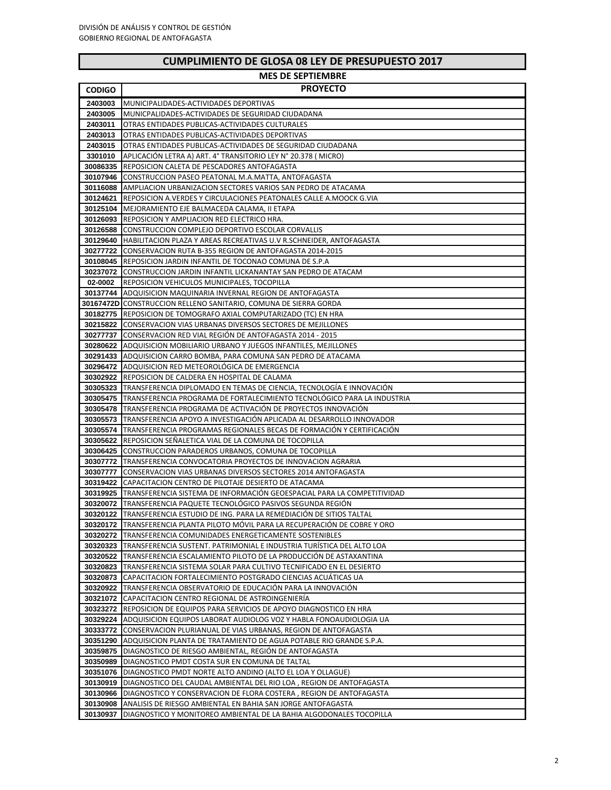I

| <b>MES DE SEPTIEMBRE</b> |                                                                                                                                                         |  |
|--------------------------|---------------------------------------------------------------------------------------------------------------------------------------------------------|--|
| <b>CODIGO</b>            | <b>PROYECTO</b>                                                                                                                                         |  |
| 2403003                  | MUNICIPALIDADES-ACTIVIDADES DEPORTIVAS                                                                                                                  |  |
| 2403005                  | MUNICPALIDADES-ACTIVIDADES DE SEGURIDAD CIUDADANA                                                                                                       |  |
| 2403011                  | OTRAS ENTIDADES PUBLICAS-ACTIVIDADES CULTURALES                                                                                                         |  |
| 2403013                  | OTRAS ENTIDADES PUBLICAS-ACTIVIDADES DEPORTIVAS                                                                                                         |  |
| 2403015                  | OTRAS ENTIDADES PUBLICAS-ACTIVIDADES DE SEGURIDAD CIUDADANA                                                                                             |  |
| 3301010                  | APLICACIÓN LETRA A) ART. 4º TRANSITORIO LEY Nº 20.378 ( MICRO)                                                                                          |  |
| 30086335                 | REPOSICION CALETA DE PESCADORES ANTOFAGASTA<br>CONSTRUCCION PASEO PEATONAL M.A.MATTA, ANTOFAGASTA                                                       |  |
| 30107946<br>30116088     | AMPLIACION URBANIZACION SECTORES VARIOS SAN PEDRO DE ATACAMA                                                                                            |  |
| 30124621                 | REPOSICION A.VERDES Y CIRCULACIONES PEATONALES CALLE A.MOOCK G.VIA                                                                                      |  |
|                          | 30125104 MEJORAMIENTO EJE BALMACEDA CALAMA, II ETAPA                                                                                                    |  |
|                          | 30126093 REPOSICION Y AMPLIACION RED ELECTRICO HRA.                                                                                                     |  |
| 30126588                 | CONSTRUCCION COMPLEJO DEPORTIVO ESCOLAR CORVALLIS                                                                                                       |  |
|                          | <b>30129640   HABILITACION PLAZA Y AREAS RECREATIVAS U.V R.SCHNEIDER, ANTOFAGASTA</b>                                                                   |  |
|                          | 30277722 CONSERVACION RUTA B-355 REGION DE ANTOFAGASTA 2014-2015                                                                                        |  |
|                          | 30108045 REPOSICION JARDIN INFANTIL DE TOCONAO COMUNA DE S.P.A                                                                                          |  |
|                          | 30237072 CONSTRUCCION JARDIN INFANTIL LICKANANTAY SAN PEDRO DE ATACAM                                                                                   |  |
| 02-0002                  | REPOSICION VEHICULOS MUNICIPALES, TOCOPILLA<br>30137744 ADQUISICION MAQUINARIA INVERNAL REGION DE ANTOFAGASTA                                           |  |
|                          | 30167472D CONSTRUCCION RELLENO SANITARIO, COMUNA DE SIERRA GORDA                                                                                        |  |
|                          | <b>30182775   REPOSICION DE TOMOGRAFO AXIAL COMPUTARIZADO (TC) EN HRA</b>                                                                               |  |
|                          | <b>30215822 ICONSERVACION VIAS URBANAS DIVERSOS SECTORES DE MEJILLONES</b>                                                                              |  |
|                          | <b>30277737 CONSERVACION RED VIAL REGION DE ANTOFAGASTA 2014 - 2015</b>                                                                                 |  |
|                          | 30280622 ADQUISICION MOBILIARIO URBANO Y JUEGOS INFANTILES, MEJILLONES                                                                                  |  |
|                          | 30291433   ADQUISICION CARRO BOMBA, PARA COMUNA SAN PEDRO DE ATACAMA                                                                                    |  |
| 30296472                 | ADQUISICION RED METEOROLÓGICA DE EMERGENCIA                                                                                                             |  |
|                          | 30302922 REPOSICION DE CALDERA EN HOSPITAL DE CALAMA                                                                                                    |  |
| 30305323                 | TRANSFERENCIA DIPLOMADO EN TEMAS DE CIENCIA, TECNOLOGÍA E INNOVACIÓN                                                                                    |  |
| 30305478                 | 30305475 TRANSFERENCIA PROGRAMA DE FORTALECIMIENTO TECNOLÓGICO PARA LA INDUSTRIA<br>TRANSFERENCIA PROGRAMA DE ACTIVACIÓN DE PROYECTOS INNOVACIÓN        |  |
| 30305573                 | TRANSFERENCIA APOYO A INVESTIGACIÓN APLICADA AL DESARROLLO INNOVADOR                                                                                    |  |
| 30305574                 | TRANSFERENCIA PROGRAMAS REGIONALES BECAS DE FORMACIÓN Y CERTIFICACIÓN                                                                                   |  |
|                          | <b>30305622 REPOSICION SENALETICA VIAL DE LA COMUNA DE TOCOPILLA</b>                                                                                    |  |
| 30306425 I               | CONSTRUCCION PARADEROS URBANOS, COMUNA DE TOCOPILLA                                                                                                     |  |
| 30307772                 | TRANSFERENCIA CONVOCATORIA PROYECTOS DE INNOVACION AGRARIA                                                                                              |  |
| 30307777                 | CONSERVACION VIAS URBANAS DIVERSOS SECTORES 2014 ANTOFAGASTA                                                                                            |  |
|                          | <b>30319422 CAPACITACION CENTRO DE PILOTAJE DESIERTO DE ATACAMA</b>                                                                                     |  |
| 30319925                 | TRANSFERENCIA SISTEMA DE INFORMACIÓN GEOESPACIAL PARA LA COMPETITIVIDAD                                                                                 |  |
|                          | 30320072 TRANSFERENCIA PAQUETE TECNOLOGICO PASIVOS SEGUNDA REGIÓN<br><b>30320122 TRANSFERENCIA ESTUDIO DE ING. PARA LA REMEDIACIÓN DE SITIOS TALTAL</b> |  |
|                          | 30320172 TRANSFERENCIA PLANTA PILOTO MOVIL PARA LA RECUPERACIÓN DE COBRE Y ORO                                                                          |  |
| 30320272                 | TRANSFERENCIA COMUNIDADES ENERGETICAMENTE SOSTENIBLES                                                                                                   |  |
| 30320323                 | TRANSFERENCIA SUSTENT. PATRIMONIAL E INDUSTRIA TURISTICA DEL ALTO LOA                                                                                   |  |
| 30320522                 | TRANSFERENCIA ESCALAMIENTO PILOTO DE LA PRODUCCIÓN DE ASTAXANTINA                                                                                       |  |
| 30320823                 | TRANSFERENCIA SISTEMA SOLAR PARA CULTIVO TECNIFICADO EN EL DESIERTO                                                                                     |  |
| 30320873                 | CAPACITACION FORTALECIMIENTO POSTGRADO CIENCIAS ACUATICAS UA                                                                                            |  |
| 30320922                 | TRANSFERENCIA OBSERVATORIO DE EDUCACIÓN PARA LA INNOVACIÓN                                                                                              |  |
|                          | 30321072 CAPACITACION CENTRO REGIONAL DE ASTROINGENIERÍA                                                                                                |  |
| 30323272                 | REPOSICION DE EQUIPOS PARA SERVICIOS DE APOYO DIAGNOSTICO EN HRA                                                                                        |  |
| 30333772                 | 30329224 ADQUISICION EQUIPOS LABORAT AUDIOLOG VOZ Y HABLA FONOAUDIOLOGIA UA<br>CONSERVACION PLURIANUAL DE VIAS URBANAS, REGION DE ANTOFAGASTA           |  |
|                          | 30351290 ADQUISICION PLANTA DE TRATAMIENTO DE AGUA POTABLE RIO GRANDE S.P.A.                                                                            |  |
| 30359875                 | DIAGNOSTICO DE RIESGO AMBIENTAL, REGIÓN DE ANTOFAGASTA                                                                                                  |  |
| 30350989                 | DIAGNOSTICO PMDT COSTA SUR EN COMUNA DE TALTAL                                                                                                          |  |
| 30351076                 | DIAGNOSTICO PMDT NORTE ALTO ANDINO (ALTO EL LOA Y OLLAGUE)                                                                                              |  |
| 30130919                 | DIAGNOSTICO DEL CAUDAL AMBIENTAL DEL RIO LOA, REGION DE ANTOFAGASTA                                                                                     |  |
| 30130966                 | DIAGNOSTICO Y CONSERVACION DE FLORA COSTERA, REGION DE ANTOFAGASTA                                                                                      |  |
| 30130908                 | ANALISIS DE RIESGO AMBIENTAL EN BAHIA SAN JORGE ANTOFAGASTA                                                                                             |  |
| 30130937                 | DIAGNOSTICO Y MONITOREO AMBIENTAL DE LA BAHIA ALGODONALES TOCOPILLA                                                                                     |  |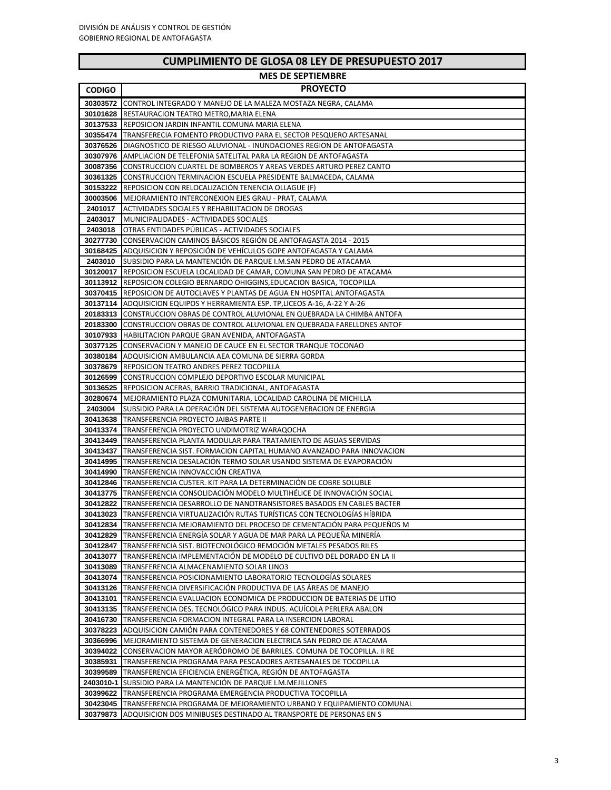$\overline{\phantom{0}}$ 

| DE GEOSA OG EET DE FINESOF O |                                                                                        |  |
|------------------------------|----------------------------------------------------------------------------------------|--|
|                              | <b>MES DE SEPTIEMBRE</b>                                                               |  |
| <b>CODIGO</b>                | <b>PROYECTO</b>                                                                        |  |
|                              | 30303572 CONTROL INTEGRADO Y MANEJO DE LA MALEZA MOSTAZA NEGRA, CALAMA                 |  |
|                              | 30101628 RESTAURACION TEATRO METRO, MARIA ELENA                                        |  |
|                              | <b>30137533 REPOSICION JARDIN INFANTIL COMUNA MARIA ELENA</b>                          |  |
|                              | 30355474 TRANSFERECIA FOMENTO PRODUCTIVO PARA EL SECTOR PESQUERO ARTESANAL             |  |
|                              | <b>30376526   DIAGNOSTICO DE RIESGO ALUVIONAL - INUNDACIONES REGION DE ANTOFAGASTA</b> |  |
|                              | <b>30307976</b> AMPLIACION DE TELEFONIA SATELITAL PARA LA REGION DE ANTOFAGASTA        |  |
|                              | 30087356 CONSTRUCCION CUARTEL DE BOMBEROS Y AREAS VERDES ARTURO PEREZ CANTO            |  |
|                              | 30361325 CONSTRUCCION TERMINACION ESCUELA PRESIDENTE BALMACEDA, CALAMA                 |  |
|                              | 30153222 REPOSICION CON RELOCALIZACIÓN TENENCIA OLLAGUE (F)                            |  |
|                              | 30003506 IMEJORAMIENTO INTERCONEXION EJES GRAU - PRAT. CALAMA                          |  |
|                              | <b>2401017</b> ACTIVIDADES SOCIALES Y REHABILITACION DE DROGAS                         |  |
| 2403017                      | MUNICIPALIDADES - ACTIVIDADES SOCIALES                                                 |  |
| 2403018                      | OTRAS ENTIDADES PUBLICAS - ACTIVIDADES SOCIALES                                        |  |
|                              | 30277730 CONSERVACION CAMINOS BASICOS REGIÓN DE ANTOFAGASTA 2014 - 2015                |  |
|                              | 30168425 ADQUISICION Y REPOSICIÓN DE VEHÍCULOS GOPE ANTOFAGASTA Y CALAMA               |  |
|                              | 2403010 SUBSIDIO PARA LA MANTENCION DE PARQUE I.M.SAN PEDRO DE ATACAMA                 |  |
|                              | 30120017 REPOSICION ESCUELA LOCALIDAD DE CAMAR, COMUNA SAN PEDRO DE ATACAMA            |  |
|                              | 30113912 REPOSICION COLEGIO BERNARDO OHIGGINS, EDUCACION BASICA, TOCOPILLA             |  |
|                              | 30370415 REPOSICION DE AUTOCLAVES Y PLANTAS DE AGUA EN HOSPITAL ANTOFAGASTA            |  |
|                              | 30137114   ADQUISICION EQUIPOS Y HERRAMIENTA ESP. TP,LICEOS A-16, A-22 Y A-26          |  |
|                              | 20183313 CONSTRUCCION OBRAS DE CONTROL ALUVIONAL EN QUEBRADA LA CHIMBA ANTOFA          |  |
|                              | 20183300 CONSTRUCCION OBRAS DE CONTROL ALUVIONAL EN QUEBRADA FARELLONES ANTOF          |  |
|                              | 30107933 HABILITACION PARQUE GRAN AVENIDA, ANTOFAGASTA                                 |  |
|                              | <b>30377125 CONSERVACION Y MANEJO DE CAUCE EN EL SECTOR TRANQUE TOCONAO</b>            |  |
|                              | 30380184 ADQUISICION AMBULANCIA AEA COMUNA DE SIERRA GORDA                             |  |
|                              | <b>30378679 REPOSICION TEATRO ANDRES PEREZ TOCOPILLA</b>                               |  |
|                              | <b>30126599 CONSTRUCCION COMPLEJO DEPORTIVO ESCOLAR MUNICIPAL</b>                      |  |
|                              | <b>30136525 IREPOSICION ACERAS, BARRIO TRADICIONAL, ANTOFAGASTA</b>                    |  |
|                              | 30280674   MEJORAMIENTO PLAZA COMUNITARIA, LOCALIDAD CAROLINA DE MICHILLA              |  |
|                              | 2403004 SUBSIDIO PARA LA OPERACIÓN DEL SISTEMA AUTOGENERACION DE ENERGIA               |  |
|                              | 30413638 TRANSFERENCIA PROYECTO JAIBAS PARTE II                                        |  |
|                              | <b>30413374 ITRANSFERENCIA PROYECTO UNDIMOTRIZ WARAQOCHA</b>                           |  |
|                              | <b>30413449 ITRANSFERENCIA PLANTA MODULAR PARA TRATAMIENTO DE AGUAS SERVIDAS</b>       |  |
|                              | 30413437 TRANSFERENCIA SIST. FORMACION CAPITAL HUMANO AVANZADO PARA INNOVACION         |  |
|                              | <b>30414995 TRANSFERENCIA DESALACIÓN TERMO SOLAR USANDO SISTEMA DE EVAPORACIÓN</b>     |  |
|                              | 30414990 TRANSFERENCIA INNOVACCIÓN CREATIVA                                            |  |
|                              | 30412846 TRANSFERENCIA CUSTER. KIT PARA LA DETERMINACION DE COBRE SOLUBLE              |  |
|                              | <b>30413775 ITRANSFERENCIA CONSOLIDACION MODELO MULTIHELICE DE INNOVACION SOCIAL</b>   |  |
|                              | 30412822   TRANSFERENCIA DESARROLLO DE NANOTRANSISTORES BASADOS EN CABLES BACTER       |  |
|                              | 30413023 TRANSFERENCIA VIRTUALIZACIÓN RUTAS TURÍSTICAS CON TECNOLOGÍAS HÍBRIDA         |  |
|                              | 30412834 TRANSFERENCIA MEJORAMIENTO DEL PROCESO DE CEMENTACION PARA PEQUENOS M         |  |
|                              | 30412829 TRANSFERENCIA ENERGÍA SOLAR Y AGUA DE MAR PARA LA PEQUEÑA MINERÍA             |  |
|                              | 30412847 TRANSFERENCIA SIST. BIOTECNOLÓGICO REMOCIÓN METALES PESADOS RILES             |  |
|                              | 30413077 TRANSFERENCIA IMPLEMENTACIÓN DE MODELO DE CULTIVO DEL DORADO EN LA II         |  |
|                              | 30413089 TRANSFERENCIA ALMACENAMIENTO SOLAR LINO3                                      |  |
| 30413074                     | TRANSFERENCIA POSICIONAMIENTO LABORATORIO TECNOLOGÍAS SOLARES                          |  |
|                              | 30413126 TRANSFERENCIA DIVERSIFICACIÓN PRODUCTIVA DE LAS ÁREAS DE MANEJO               |  |
| 30413101                     | TRANSFERENCIA EVALUACION ECONOMICA DE PRODUCCION DE BATERIAS DE LITIO                  |  |
|                              |                                                                                        |  |
|                              | 30413135 TRANSFERENCIA DES. TECNOLÓGICO PARA INDUS. ACUÍCOLA PERLERA ABALON            |  |
|                              | 30416730 TRANSFERENCIA FORMACION INTEGRAL PARA LA INSERCION LABORAL                    |  |
|                              | 30378223 ADQUISICION CAMIÓN PARA CONTENEDORES Y 68 CONTENEDORES SOTERRADOS             |  |
|                              | 30366996   MEJORAMIENTO SISTEMA DE GENERACION ELECTRICA SAN PEDRO DE ATACAMA           |  |
|                              | 30394022 CONSERVACION MAYOR AERÓDROMO DE BARRILES. COMUNA DE TOCOPILLA. II RE          |  |
| 30385931                     | TRANSFERENCIA PROGRAMA PARA PESCADORES ARTESANALES DE TOCOPILLA                        |  |
|                              | 30399589 TRANSFERENCIA EFICIENCIA ENERGÉTICA, REGIÓN DE ANTOFAGASTA                    |  |
|                              | 2403010-1 SUBSIDIO PARA LA MANTENCIÓN DE PARQUE I.M.MEJILLONES                         |  |
|                              | 30399622 TRANSFERENCIA PROGRAMA EMERGENCIA PRODUCTIVA TOCOPILLA                        |  |
|                              | 30423045  TRANSFERENCIA PROGRAMA DE MEJORAMIENTO URBANO Y EQUIPAMIENTO COMUNAL         |  |
|                              | <b>30379873</b> ADQUISICION DOS MINIBUSES DESTINADO AL TRANSPORTE DE PERSONAS EN S     |  |

ADQUISICION DOS MINIBUSES DESTINADO AL TRANSPORTE DE PERSONAS EN S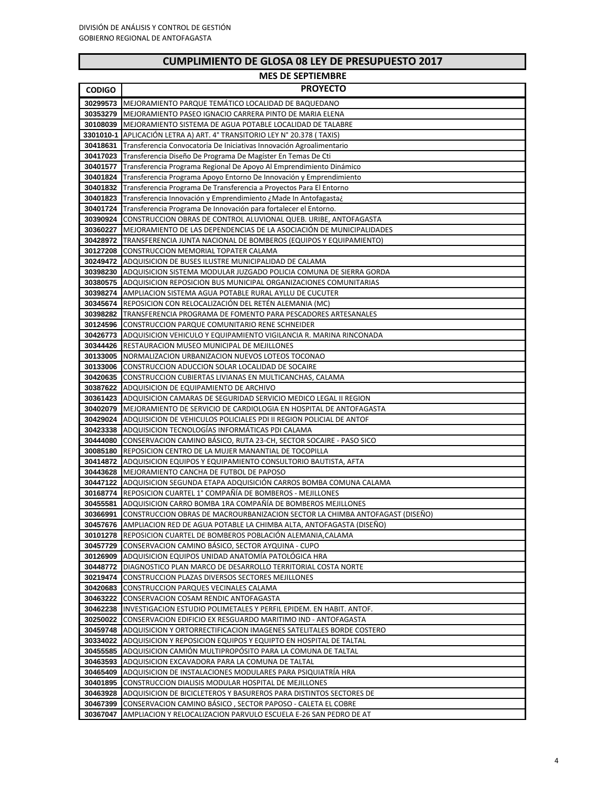| <b>MES DE SEPTIEMBRE</b> |                                                                                                                            |  |
|--------------------------|----------------------------------------------------------------------------------------------------------------------------|--|
| <b>CODIGO</b>            | <b>PROYECTO</b>                                                                                                            |  |
|                          | 30299573 MEJORAMIENTO PARQUE TEMÁTICO LOCALIDAD DE BAQUEDANO                                                               |  |
| 30353279                 | MEJORAMIENTO PASEO IGNACIO CARRERA PINTO DE MARIA ELENA                                                                    |  |
| 30108039                 | MEJORAMIENTO SISTEMA DE AGUA POTABLE LOCALIDAD DE TALABRE                                                                  |  |
| 3301010-1                | APLICACIÓN LETRA A) ART. 4° TRANSITORIO LEY N° 20.378 (TAXIS)                                                              |  |
| 30418631                 | Transferencia Convocatoria De Iniciativas Innovación Agroalimentario                                                       |  |
| 30417023                 | Transferencia Diseño De Programa De Magíster En Temas De Cti                                                               |  |
| 30401577                 | Transferencia Programa Regional De Apoyo Al Emprendimiento Dinámico                                                        |  |
| 30401824                 | Transferencia Programa Apoyo Entorno De Innovación y Emprendimiento                                                        |  |
| 30401832                 | Transferencia Programa De Transferencia a Proyectos Para El Entorno                                                        |  |
| 30401823                 | Transferencia Innovación y Emprendimiento ¿Made In Antofagasta¿                                                            |  |
| 30401724                 | Transferencia Programa De Innovación para fortalecer el Entorno.                                                           |  |
| 30390924                 | CONSTRUCCION OBRAS DE CONTROL ALUVIONAL QUEB. URIBE, ANTOFAGASTA                                                           |  |
| 30360227                 | MEJORAMIENTO DE LAS DEPENDENCIAS DE LA ASOCIACIÓN DE MUNICIPALIDADES                                                       |  |
| 30428972                 | TRANSFERENCIA JUNTA NACIONAL DE BOMBEROS (EQUIPOS Y EQUIPAMIENTO)                                                          |  |
| 30127208                 | CONSTRUCCION MEMORIAL TOPATER CALAMA                                                                                       |  |
| 30249472                 | ADQUISICION DE BUSES ILUSTRE MUNICIPALIDAD DE CALAMA<br>ADQUISICION SISTEMA MODULAR JUZGADO POLICIA COMUNA DE SIERRA GORDA |  |
| 30398230                 | 30380575 ADQUISICION REPOSICION BUS MUNICIPAL ORGANIZACIONES COMUNITARIAS                                                  |  |
|                          | 30398274 AMPLIACION SISTEMA AGUA POTABLE RURAL AYLLU DE CUCUTER                                                            |  |
| 30345674                 | REPOSICION CON RELOCALIZACIÓN DEL RETÉN ALEMANIA (MC)                                                                      |  |
| 30398282                 | TRANSFERENCIA PROGRAMA DE FOMENTO PARA PESCADORES ARTESANALES                                                              |  |
|                          | <b>30124596 CONSTRUCCION PARQUE COMUNITARIO RENE SCHNEIDER</b>                                                             |  |
| 30426773                 | ADQUISICION VEHICULO Y EQUIPAMIENTO VIGILANCIA R. MARINA RINCONADA                                                         |  |
|                          | 30344426 RESTAURACION MUSEO MUNICIPAL DE MEJILLONES                                                                        |  |
| 30133005                 | NORMALIZACION URBANIZACION NUEVOS LOTEOS TOCONAO                                                                           |  |
|                          | 30133006 CONSTRUCCION ADUCCION SOLAR LOCALIDAD DE SOCAIRE                                                                  |  |
| 30420635                 | CONSTRUCCION CUBIERTAS LIVIANAS EN MULTICANCHAS, CALAMA                                                                    |  |
|                          | 30387622 ADQUISICION DE EQUIPAMIENTO DE ARCHIVO                                                                            |  |
| 30361423                 | ADQUISICION CAMARAS DE SEGURIDAD SERVICIO MEDICO LEGAL II REGION                                                           |  |
| 30402079                 | MEJORAMIENTO DE SERVICIO DE CARDIOLOGIA EN HOSPITAL DE ANTOFAGASTA                                                         |  |
| 30429024                 | ADQUISICION DE VEHICULOS POLICIALES PDI II REGION POLICIAL DE ANTOF                                                        |  |
|                          | 30423338 ADQUISICION TECNOLOGIAS INFORMATICAS PDI CALAMA                                                                   |  |
| 30444080                 | CONSERVACION CAMINO BASICO, RUTA 23-CH, SECTOR SOCAIRE - PASO SICO                                                         |  |
| 30085180                 | REPOSICION CENTRO DE LA MUJER MANANTIAL DE TOCOPILLA                                                                       |  |
| 30414872                 | ADQUISICION EQUIPOS Y EQUIPAMIENTO CONSULTORIO BAUTISTA, AFTA                                                              |  |
| 30443628                 | MEJORAMIENTO CANCHA DE FUTBOL DE PAPOSO                                                                                    |  |
| 30447122                 | ADQUISICION SEGUNDA ETAPA ADQUISICIÓN CARROS BOMBA COMUNA CALAMA                                                           |  |
|                          | 30168774 REPOSICION CUARTEL 1° COMPAÑÍA DE BOMBEROS - MEJILLONES                                                           |  |
|                          | 30455581 ADQUISICION CARRO BOMBA 1RA COMPAÑÍA DE BOMBEROS MEJILLONES                                                       |  |
|                          | 30366991 CONSTRUCCION OBRAS DE MACROURBANIZACION SECTOR LA CHIMBA ANTOFAGAST (DISEÑO)                                      |  |
| 30457676                 | AMPLIACION RED DE AGUA POTABLE LA CHIMBA ALTA, ANTOFAGASTA (DISEÑO)                                                        |  |
| 30101278                 | REPOSICION CUARTEL DE BOMBEROS POBLACIÓN ALEMANIA, CALAMA                                                                  |  |
| 30457729                 | CONSERVACION CAMINO BÁSICO, SECTOR AYQUINA - CUPO                                                                          |  |
| 30126909                 | ADQUISICION EQUIPOS UNIDAD ANATOMÍA PATOLÓGICA HRA                                                                         |  |
|                          | 30448772 DIAGNOSTICO PLAN MARCO DE DESARROLLO TERRITORIAL COSTA NORTE                                                      |  |
| 30219474                 | CONSTRUCCION PLAZAS DIVERSOS SECTORES MEJILLONES                                                                           |  |
| 30420683                 | CONSTRUCCION PARQUES VECINALES CALAMA<br>30463222 CONSERVACION COSAM RENDIC ANTOFAGASTA                                    |  |
|                          | 30462238 INVESTIGACION ESTUDIO POLIMETALES Y PERFIL EPIDEM. EN HABIT. ANTOF.                                               |  |
| 30250022                 | CONSERVACION EDIFICIO EX RESGUARDO MARITIMO IND - ANTOFAGASTA                                                              |  |
|                          | 30459748 ADQUISICION Y ORTORRECTIFICACION IMAGENES SATELITALES BORDE COSTERO                                               |  |
| 30334022                 | ADQUISICION Y REPOSICION EQUIPOS Y EQUIPTO EN HOSPITAL DE TALTAL                                                           |  |
| 30455585                 | ADQUISICION CAMION MULTIPROPOSITO PARA LA COMUNA DE TALTAL                                                                 |  |
| 30463593                 | ADQUISICION EXCAVADORA PARA LA COMUNA DE TALTAL                                                                            |  |
| 30465409                 | ADQUISICION DE INSTALACIONES MODULARES PARA PSIQUIATRÍA HRA                                                                |  |
| 30401895                 | CONSTRUCCION DIALISIS MODULAR HOSPITAL DE MEJILLONES                                                                       |  |
|                          | 30463928 ADQUISICION DE BICICLETEROS Y BASUREROS PARA DISTINTOS SECTORES DE                                                |  |
| 30467399                 | CONSERVACION CAMINO BÁSICO, SECTOR PAPOSO - CALETA EL COBRE                                                                |  |
| 30367047                 | AMPLIACION Y RELOCALIZACION PARVULO ESCUELA E-26 SAN PEDRO DE AT                                                           |  |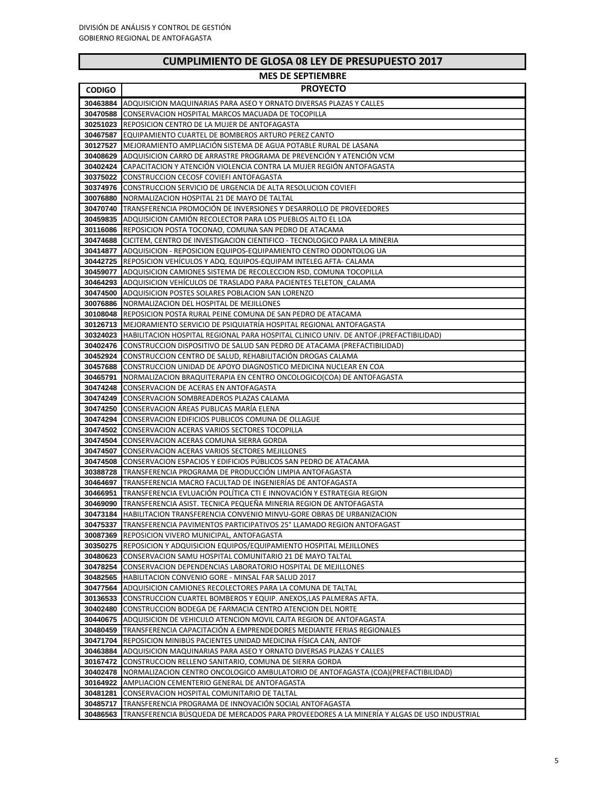$\overline{\phantom{0}}$ 

| COMPLINIENTO DE GLOJA OS LET DE FREJOFOESTO ZUI A |                                                                                                                                                                |  |
|---------------------------------------------------|----------------------------------------------------------------------------------------------------------------------------------------------------------------|--|
|                                                   | <b>MES DE SEPTIEMBRE</b>                                                                                                                                       |  |
| <b>CODIGO</b>                                     | <b>PROYECTO</b>                                                                                                                                                |  |
|                                                   | 30463884 ADQUISICION MAQUINARIAS PARA ASEO Y ORNATO DIVERSAS PLAZAS Y CALLES                                                                                   |  |
|                                                   | 30470588 CONSERVACION HOSPITAL MARCOS MACUADA DE TOCOPILLA                                                                                                     |  |
|                                                   | <b>30251023 REPOSICION CENTRO DE LA MUJER DE ANTOFAGASTA</b>                                                                                                   |  |
|                                                   | 30467587 EQUIPAMIENTO CUARTEL DE BOMBEROS ARTURO PEREZ CANTO                                                                                                   |  |
|                                                   | <b>30127527 IMEJORAMIENTO AMPLIACIÓN SISTEMA DE AGUA POTABLE RURAL DE LASANA</b>                                                                               |  |
|                                                   | <b>30408629   ADQUISICION CARRO DE ARRASTRE PROGRAMA DE PREVENCIÓN Y ATENCIÓN VCM</b>                                                                          |  |
|                                                   | <b>30402424 CAPACITACION Y ATENCIÓN VIOLENCIA CONTRA LA MUJER REGIÓN ANTOFAGASTA</b>                                                                           |  |
|                                                   | 30375022 CONSTRUCCION CECOSF COVIEFI ANTOFAGASTA                                                                                                               |  |
|                                                   | <b>30374976 CONSTRUCCION SERVICIO DE URGENCIA DE ALTA RESOLUCION COVIEFI</b>                                                                                   |  |
|                                                   | 30076880 INORMALIZACION HOSPITAL 21 DE MAYO DE TALTAL                                                                                                          |  |
|                                                   | <b>30470740 TRANSFERENCIA PROMOCIÓN DE INVERSIONES Y DESARROLLO DE PROVEEDORES</b>                                                                             |  |
|                                                   | 30459835 ADQUISICION CAMIÓN RECOLECTOR PARA LOS PUEBLOS ALTO EL LOA<br>30116086 REPOSICION POSTA TOCONAO, COMUNA SAN PEDRO DE ATACAMA                          |  |
|                                                   | <b>30474688   CICITEM, CENTRO DE INVESTIGACION CIENTIFICO - TECNOLOGICO PARA LA MINERIA</b>                                                                    |  |
|                                                   | 30414877 ADQUISICION - REPOSICION EQUIPOS-EQUIPAMIENTO CENTRO ODONTOLOG UA                                                                                     |  |
|                                                   | <b>30442725   REPOSICION VEHICULOS Y ADQ. EQUIPOS-EQUIPAM INTELEG AFTA- CALAMA</b>                                                                             |  |
|                                                   | <b>30459077   ADQUISICION CAMIONES SISTEMA DE RECOLECCION RSD, COMUNA TOCOPILLA</b>                                                                            |  |
|                                                   | <b>30464293</b> ADQUISICION VEHICULOS DE TRASLADO PARA PACIENTES TELETON CALAMA                                                                                |  |
|                                                   | <b>30474500 LADQUISICION POSTES SOLARES POBLACION SAN LORENZO</b>                                                                                              |  |
|                                                   | 30076886 NORMALIZACION DEL HOSPITAL DE MEJILLONES                                                                                                              |  |
|                                                   | <b>30108048</b> REPOSICION POSTA RURAL PEINE COMUNA DE SAN PEDRO DE ATACAMA                                                                                    |  |
|                                                   | 30126713   MEJORAMIENTO SERVICIO DE PSIQUIATRÍA HOSPITAL REGIONAL ANTOFAGASTA                                                                                  |  |
|                                                   | 30324023 HABILITACION HOSPITAL REGIONAL PARA HOSPITAL CLINICO UNIV. DE ANTOF.(PREFACTIBILIDAD)                                                                 |  |
|                                                   | 30402476 CONSTRUCCION DISPOSITIVO DE SALUD SAN PEDRO DE ATACAMA (PREFACTIBILIDAD)                                                                              |  |
|                                                   | <b>30452924 CONSTRUCCION CENTRO DE SALUD, REHABILITACIÓN DROGAS CALAMA</b>                                                                                     |  |
|                                                   | 30457688 CONSTRUCCION UNIDAD DE APOYO DIAGNOSTICO MEDICINA NUCLEAR EN COA                                                                                      |  |
|                                                   | <b>30465791 INORMALIZACION BRAQUITERAPIA EN CENTRO ONCOLOGICO(COA) DE ANTOFAGASTA</b>                                                                          |  |
|                                                   | <b>30474248 CONSERVACION DE ACERAS EN ANTOFAGASTA</b>                                                                                                          |  |
|                                                   | <b>30474249 ICONSERVACION SOMBREADEROS PLAZAS CALAMA</b>                                                                                                       |  |
|                                                   | <b>30474250 CONSERVACION ÁREAS PUBLICAS MARÍA ELENA</b>                                                                                                        |  |
|                                                   | 30474294 CONSERVACION EDIFICIOS PUBLICOS COMUNA DE OLLAGUE                                                                                                     |  |
|                                                   | <b>30474502 CONSERVACION ACERAS VARIOS SECTORES TOCOPILLA</b>                                                                                                  |  |
|                                                   | <b>30474504 CONSERVACION ACERAS COMUNA SIERRA GORDA</b><br><b>30474507 CONSERVACION ACERAS VARIOS SECTORES MEJILLONES</b>                                      |  |
|                                                   | <b>30474508</b> CONSERVACION ESPACIOS Y EDIFICIOS PUBLICOS SAN PEDRO DE ATACAMA                                                                                |  |
|                                                   | 30388728 TRANSFERENCIA PROGRAMA DE PRODUCCIÓN LIMPIA ANTOFAGASTA                                                                                               |  |
|                                                   | 30464697 TRANSFERENCIA MACRO FACULTAD DE INGENIERÍAS DE ANTOFAGASTA                                                                                            |  |
|                                                   | <b>30466951 TRANSFERENCIA EVLUACIÓN POLÍTICA CTI E INNOVACIÓN Y ESTRATEGIA REGION</b>                                                                          |  |
|                                                   | <b>30469090 TRANSFERENCIA ASIST. TECNICA PEQUEÑA MINERIA REGION DE ANTOFAGASTA</b>                                                                             |  |
|                                                   | 30473184   HABILITACION TRANSFERENCIA CONVENIO MINVU-GORE OBRAS DE URBANIZACION                                                                                |  |
|                                                   | 30475337 TRANSFERENCIA PAVIMENTOS PARTICIPATIVOS 25° LLAMADO REGION ANTOFAGAST                                                                                 |  |
|                                                   | 30087369 REPOSICION VIVERO MUNICIPAL, ANTOFAGASTA                                                                                                              |  |
|                                                   | 30350275 REPOSICION Y ADQUISICION EQUIPOS/EQUIPAMIENTO HOSPITAL MEJILLONES                                                                                     |  |
|                                                   | 30480623 CONSERVACION SAMU HOSPITAL COMUNITARIO 21 DE MAYO TALTAL                                                                                              |  |
|                                                   | 30478254 CONSERVACION DEPENDENCIAS LABORATORIO HOSPITAL DE MEJILLONES                                                                                          |  |
|                                                   | 30482565 HABILITACION CONVENIO GORE - MINSAL FAR SALUD 2017                                                                                                    |  |
|                                                   | <b>30477564</b> ADQUISICION CAMIONES RECOLECTORES PARA LA COMUNA DE TALTAL                                                                                     |  |
|                                                   | 30136533 CONSTRUCCION CUARTEL BOMBEROS Y EQUIP. ANEXOS, LAS PALMERAS AFTA.                                                                                     |  |
|                                                   | 30402480 CONSTRUCCION BODEGA DE FARMACIA CENTRO ATENCION DEL NORTE                                                                                             |  |
|                                                   | <b>30440675   ADQUISICION DE VEHICULO ATENCION MOVIL CAJTA REGION DE ANTOFAGASTA</b>                                                                           |  |
|                                                   | <b>30480459 TRANSFERENCIA CAPACITACIÓN A EMPRENDEDORES MEDIANTE FERIAS REGIONALES</b>                                                                          |  |
|                                                   | <b>30471704</b> REPOSICION MINIBUS PACIENTES UNIDAD MEDICINA FISICA CAN, ANTOF<br>30463884 ADQUISICION MAQUINARIAS PARA ASEO Y ORNATO DIVERSAS PLAZAS Y CALLES |  |
|                                                   | 30167472 CONSTRUCCION RELLENO SANITARIO, COMUNA DE SIERRA GORDA                                                                                                |  |
|                                                   | 30402478   NORMALIZACION CENTRO ONCOLOGICO AMBULATORIO DE ANTOFAGASTA (COA) (PREFACTIBILIDAD)                                                                  |  |
|                                                   | 30164922 AMPLIACION CEMENTERIO GENERAL DE ANTOFAGASTA                                                                                                          |  |
|                                                   | 30481281 CONSERVACION HOSPITAL COMUNITARIO DE TALTAL                                                                                                           |  |
|                                                   | 30485717 TRANSFERENCIA PROGRAMA DE INNOVACIÓN SOCIAL ANTOFAGASTA                                                                                               |  |
|                                                   | 30486563 TRANSFERENCIA BÚSQUEDA DE MERCADOS PARA PROVEEDORES A LA MINERÍA Y ALGAS DE USO INDUSTRIAL                                                            |  |